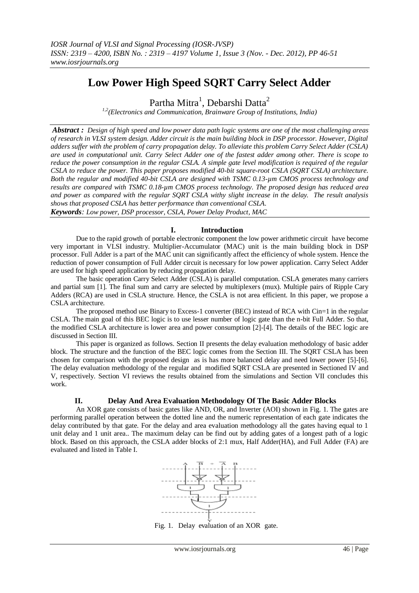# **Low Power High Speed SQRT Carry Select Adder**

Partha Mitra $^1$ , Debarshi Datta $^2$ 

*1,2(Electronics and Communication, Brainware Group of Institutions, India)*

*Abstract : Design of high speed and low power data path logic systems are one of the most challenging areas of research in VLSI system design. Adder circuit is the main building block in DSP processor. However, Digital adders suffer with the problem of carry propagation delay. To alleviate this problem Carry Select Adder (CSLA) are used in computational unit. Carry Select Adder one of the fastest adder among other. There is scope to reduce the power consumption in the regular CSLA. A simple gate level modification is required of the regular CSLA to reduce the power. This paper proposes modified 40-bit square-root CSLA (SQRT CSLA) architecture. Both the regular and modified 40-bit CSLA are designed with TSMC 0.13-µm CMOS process technology and results are compared with TSMC 0.18-µm CMOS process technology. The proposed design has reduced area and power as compared with the regular SQRT CSLA withy slight increase in the delay. The result analysis shows that proposed CSLA has better performance than conventional CSLA. Keywords: Low power, DSP processor, CSLA, Power Delay Product, MAC*

## **I. Introduction**

Due to the rapid growth of portable electronic component the low power arithmetic circuit have become very important in VLSI industry. Multiplier-Accumulator (MAC) unit is the main building block in DSP processor. Full Adder is a part of the MAC unit can significantly affect the efficiency of whole system. Hence the reduction of power consumption of Full Adder circuit is necessary for low power application. Carry Select Adder are used for high speed application by reducing propagation delay.

The basic operation Carry Select Adder (CSLA) is parallel computation. CSLA generates many carriers and partial sum [1]. The final sum and carry are selected by multiplexers (mux). Multiple pairs of Ripple Cary Adders (RCA) are used in CSLA structure. Hence, the CSLA is not area efficient. In this paper, we propose a CSLA architecture.

The proposed method use Binary to Excess-1 converter (BEC) instead of RCA with Cin=1 in the regular CSLA. The main goal of this BEC logic is to use lesser number of logic gate than the n-bit Full Adder. So that, the modified CSLA architecture is lower area and power consumption [2]-[4]. The details of the BEC logic are discussed in Section III.

This paper is organized as follows. Section II presents the delay evaluation methodology of basic adder block. The structure and the function of the BEC logic comes from the Section III. The SQRT CSLA has been chosen for comparison with the proposed design as is has more balanced delay and need lower power [5]-[6]. The delay evaluation methodology of the regular and modified SQRT CSLA are presented in Sectioned IV and V, respectively. Section VI reviews the results obtained from the simulations and Section VII concludes this work.

## **II. Delay And Area Evaluation Methodology Of The Basic Adder Blocks**

An XOR gate consists of basic gates like AND, OR, and Inverter (AOI) shown in Fig. 1. The gates are performing parallel operation between the dotted line and the numeric representation of each gate indicates the delay contributed by that gate. For the delay and area evaluation methodology all the gates having equal to 1 unit delay and 1 unit area.. The maximum delay can be find out by adding gates of a longest path of a logic block. Based on this approach, the CSLA adder blocks of 2:1 mux, Half Adder(HA), and Full Adder (FA) are evaluated and listed in Table I.



Fig. 1. Delay evaluation of an XOR gate.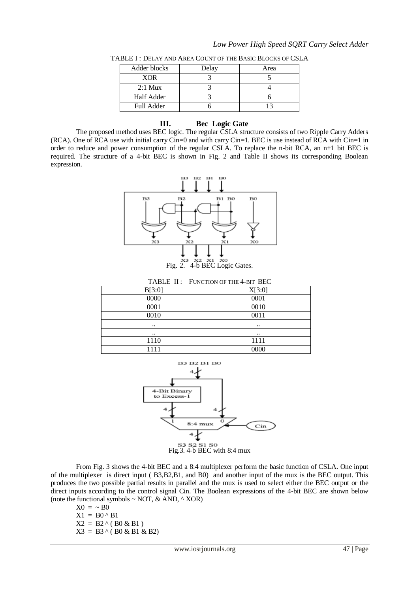| Adder blocks | Delay | Area |
|--------------|-------|------|
| <b>XOR</b>   |       |      |
| $2:1$ Mux    |       |      |
| Half Adder   |       |      |
| Full Adder   |       |      |

TABLE I : DELAY AND AREA COUNT OF THE BASIC BLOCKS OF CSLA

#### **III. Bec Logic Gate**

The proposed method uses BEC logic. The regular CSLA structure consists of two Ripple Carry Adders (RCA). One of RCA use with initial carry Cin=0 and with carry Cin=1. BEC is use instead of RCA with Cin=1 in order to reduce and power consumption of the regular CSLA. To replace the n-bit RCA, an n+1 bit BEC is required. The structure of a 4-bit BEC is shown in Fig. 2 and Table II shows its corresponding Boolean expression.



Fig. 2. 4-b BEC Logic Gates.

|        | TABLE II: FUNCTION OF THE 4-BIT BEC |  |  |
|--------|-------------------------------------|--|--|
| B[3:0] | X[3:0]                              |  |  |
| 0000   | 0001                                |  |  |
| 0001   | 0010                                |  |  |
| 0010   | 0011                                |  |  |
|        | $\ddotsc$                           |  |  |
|        | $\ddotsc$                           |  |  |
| 1110   | 1111                                |  |  |
| 111    | 0000                                |  |  |



From Fig. 3 shows the 4-bit BEC and a 8:4 multiplexer perform the basic function of CSLA. One input of the multiplexer is direct input ( B3,B2,B1, and B0) and another input of the mux is the BEC output. This produces the two possible partial results in parallel and the mux is used to select either the BEC output or the direct inputs according to the control signal Cin. The Boolean expressions of the 4-bit BEC are shown below (note the functional symbols  $\sim$  NOT, & AND,  $\land$  XOR)

 $X0 = -BO$  $X1 = B0^{\wedge} B1$  $X2 = B2 \land (B0 \& B1)$  $X3 = B3^{\wedge} (B0 \& B1 \& B2)$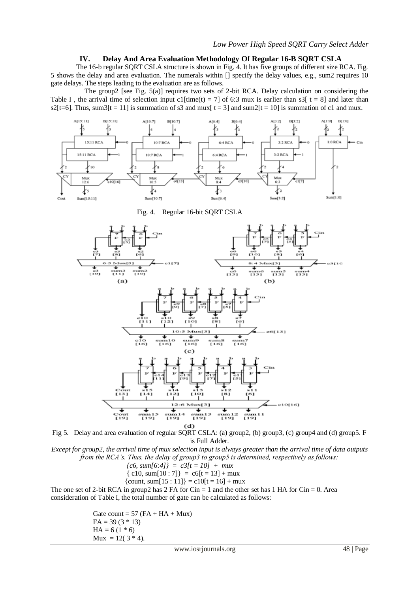### **IV. Delay And Area Evaluation Methodology Of Regular 16-B SQRT CSLA**

The 16-b regular SQRT CSLA structure is shown in Fig. 4. It has five groups of different size RCA. Fig. 5 shows the delay and area evaluation. The numerals within [] specify the delay values, e.g., sum2 requires 10 gate delays. The steps leading to the evaluation are as follows.

 The group2 [see Fig. 5(a)] requires two sets of 2-bit RCA. Delay calculation on considering the Table I, the arrival time of selection input c1[time(t) = 7] of 6:3 mux is earlier than s3[ t = 8] and later than  $s2[t=6]$ . Thus, sum $3[t = 11]$  is summation of s3 and mux[ t = 3] and sum $2[t = 10]$  is summation of c1 and mux.



Fig. 4. Regular 16-bit SQRT CSLA



Fig 5. Delay and area evaluation of regular SQRT CSLA: (a) group2, (b) group3, (c) group4 and (d) group5. F is Full Adder.

*Except for group2, the arrival time of mux selection input is always greater than the arrival time of data outputs from the RCA's. Thus, the delay of group3 to group5 is determined, respectively as follows:* 

- ${c6, sum[6:4]} = c3[t = 10] + mux$
- ${c10, sum[10:7]} = c6[t = 13] + mux$
- ${count, sum[15 : 11]} = c10[t = 16] + \text{mux}$

The one set of 2-bit RCA in group2 has  $2 \text{ FA}$  for Cin = 1 and the other set has 1 HA for Cin = 0. Area consideration of Table I, the total number of gate can be calculated as follows:

> Gate count =  $57$  (FA + HA + Mux)  $FA = 39 (3 * 13)$  $HA = 6(1 * 6)$  $Mux = 12(3 * 4)$ .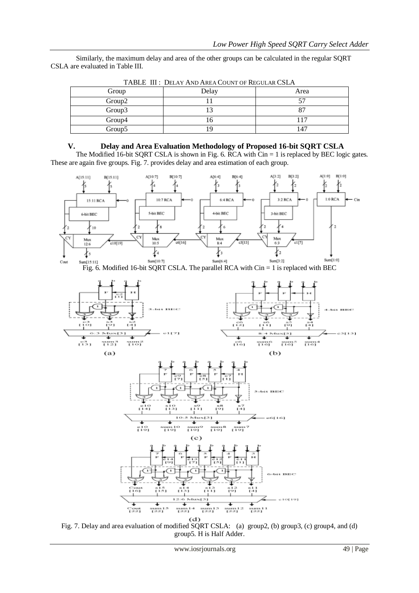Similarly, the maximum delay and area of the other groups can be calculated in the regular SQRT CSLA are evaluated in Table III.

| Group  | Delay | Area |
|--------|-------|------|
| Group2 |       |      |
| Group3 |       |      |
| Group4 |       |      |
| Group5 |       | 147  |

TABLE III : DELAY AND AREA COUNT OF REGULAR CSLA

## **V. Delay and Area Evaluation Methodology of Proposed 16-bit SQRT CSLA**

The Modified 16-bit SQRT CSLA is shown in Fig. 6. RCA with  $\overline{\text{C}}$ in = 1 is replaced by BEC logic gates. These are again five groups. Fig. 7. provides delay and area estimation of each group.



Fig. 7. Delay and area evaluation of modified SQRT CSLA: (a) group2, (b) group3, (c) group4, and (d) group5. H is Half Adder.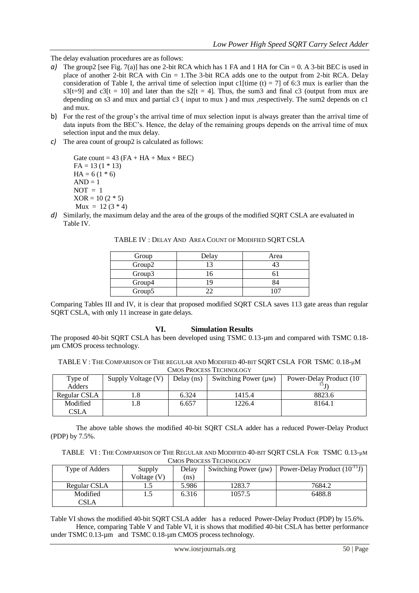The delay evaluation procedures are as follows:

- *a*) The group2 [see Fig. 7(a)] has one 2-bit RCA which has 1 FA and 1 HA for Cin = 0. A 3-bit BEC is used in place of another 2-bit RCA with  $Cin = 1$ . The 3-bit RCA adds one to the output from 2-bit RCA. Delay consideration of Table I, the arrival time of selection input c1 time (t) = 71 of 6:3 mux is earlier than the  $s3[t=9]$  and  $c3[t = 10]$  and later than the  $s2[t = 4]$ . Thus, the sum3 and final c3 (output from mux are depending on s3 and mux and partial c3 ( input to mux ) and mux ,respectively. The sum2 depends on c1 and mux.
- b) For the rest of the group's the arrival time of mux selection input is always greater than the arrival time of data inputs from the BEC's. Hence, the delay of the remaining groups depends on the arrival time of mux selection input and the mux delay.
- *c)* The area count of group2 is calculated as follows:

Gate count =  $43$  (FA + HA + Mux + BEC)  $FA = 13(1 * 13)$  $HA = 6(1 * 6)$  $AND = 1$  $NOT = 1$  $XOR = 10 (2 * 5)$  $Mux = 12 (3 * 4)$ 

*d*) Similarly, the maximum delay and the area of the groups of the modified SORT CSLA are evaluated in Table IV*.* 

| Group  | Delay | Area |
|--------|-------|------|
| Group2 |       |      |
| Group3 |       |      |
| Group4 |       | ∢⊿   |
| Group5 |       |      |

TABLE IV : DELAY AND AREA COUNT OF MODIFIED SQRT CSLA

Comparing Tables III and IV, it is clear that proposed modified SQRT CSLA saves 113 gate areas than regular SQRT CSLA, with only 11 increase in gate delays.

## **VI. Simulation Results**

The proposed 40-bit SQRT CSLA has been developed using TSMC 0.13-µm and compared with TSMC 0.18 um CMOS process technology.

TABLE V : THE COMPARISON OF THE REGULAR AND MODIFIED 40-BIT SQRT CSLA FOR TSMC 0.18-µM CMOS PROCESS TECHNOLOGY

| <u>Chiod i nocedd i echnolog i</u> |                    |              |                      |                                       |
|------------------------------------|--------------------|--------------|----------------------|---------------------------------------|
| Type of                            | Supply Voltage (V) | Delay $(ns)$ | Switching Power (μw) | Power-Delay Product (10 <sup>-1</sup> |
| Adders                             |                    |              |                      | 1 J T                                 |
| Regular CSLA                       |                    | 6.324        | 1415.4               | 8823.6                                |
| Modified                           | 1.8                | 6.657        | 1226.4               | 8164.1                                |
| CSLA                               |                    |              |                      |                                       |

The above table shows the modified 40-bit SQRT CSLA adder has a reduced Power-Delay Product (PDP) by 7.5%.

TABLE VI : THE COMPARISON OF THE REGULAR AND MODIFIED 40-BIT SQRT CSLA FOR TSMC 0.13-µM CMOS PROCESS TECHNOLOGY

| Type of Adders | Supply      | Delav |        | Switching Power ( $\mu$ w)   Power-Delay Product (10 <sup>-15</sup> J) |
|----------------|-------------|-------|--------|------------------------------------------------------------------------|
|                | Voltage (V) | (ns)  |        |                                                                        |
| Regular CSLA   |             | 5.986 | 1283.7 | 7684.2                                                                 |
| Modified       |             | 6.316 | 1057.5 | 6488.8                                                                 |
| CSLA           |             |       |        |                                                                        |

Table VI shows the modified 40-bit SQRT CSLA adder has a reduced Power-Delay Product (PDP) by 15.6%. Hence, comparing Table V and Table VI, it is shows that modified 40-bit CSLA has better performance under TSMC 0.13-um and TSMC 0.18-um CMOS process technology.